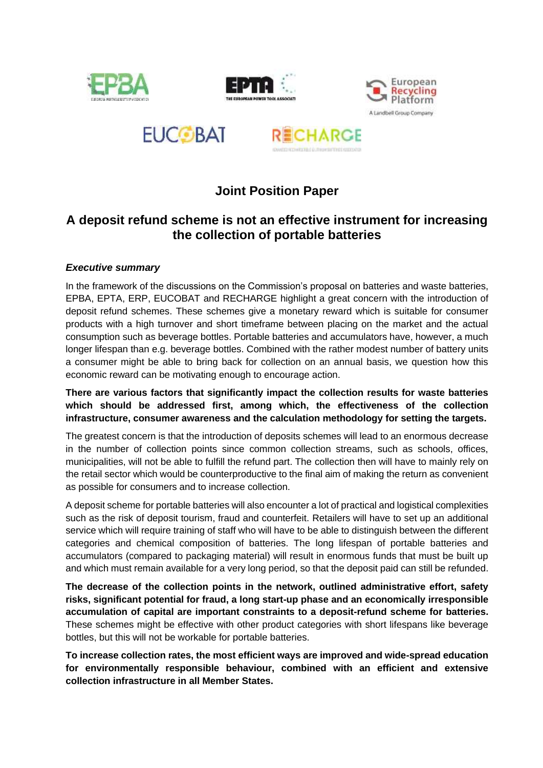









# **Joint Position Paper**

## **A deposit refund scheme is not an effective instrument for increasing the collection of portable batteries**

### *Executive summary*

In the framework of the discussions on the Commission's proposal on batteries and waste batteries, EPBA, EPTA, ERP, EUCOBAT and RECHARGE highlight a great concern with the introduction of deposit refund schemes. These schemes give a monetary reward which is suitable for consumer products with a high turnover and short timeframe between placing on the market and the actual consumption such as beverage bottles. Portable batteries and accumulators have, however, a much longer lifespan than e.g. beverage bottles. Combined with the rather modest number of battery units a consumer might be able to bring back for collection on an annual basis, we question how this economic reward can be motivating enough to encourage action.

**There are various factors that significantly impact the collection results for waste batteries which should be addressed first, among which, the effectiveness of the collection infrastructure, consumer awareness and the calculation methodology for setting the targets.**

The greatest concern is that the introduction of deposits schemes will lead to an enormous decrease in the number of collection points since common collection streams, such as schools, offices, municipalities, will not be able to fulfill the refund part. The collection then will have to mainly rely on the retail sector which would be counterproductive to the final aim of making the return as convenient as possible for consumers and to increase collection.

A deposit scheme for portable batteries will also encounter a lot of practical and logistical complexities such as the risk of deposit tourism, fraud and counterfeit. Retailers will have to set up an additional service which will require training of staff who will have to be able to distinguish between the different categories and chemical composition of batteries. The long lifespan of portable batteries and accumulators (compared to packaging material) will result in enormous funds that must be built up and which must remain available for a very long period, so that the deposit paid can still be refunded.

**The decrease of the collection points in the network, outlined administrative effort, safety risks, significant potential for fraud, a long start-up phase and an economically irresponsible accumulation of capital are important constraints to a deposit-refund scheme for batteries.** These schemes might be effective with other product categories with short lifespans like beverage bottles, but this will not be workable for portable batteries.

**To increase collection rates, the most efficient ways are improved and wide-spread education for environmentally responsible behaviour, combined with an efficient and extensive collection infrastructure in all Member States.**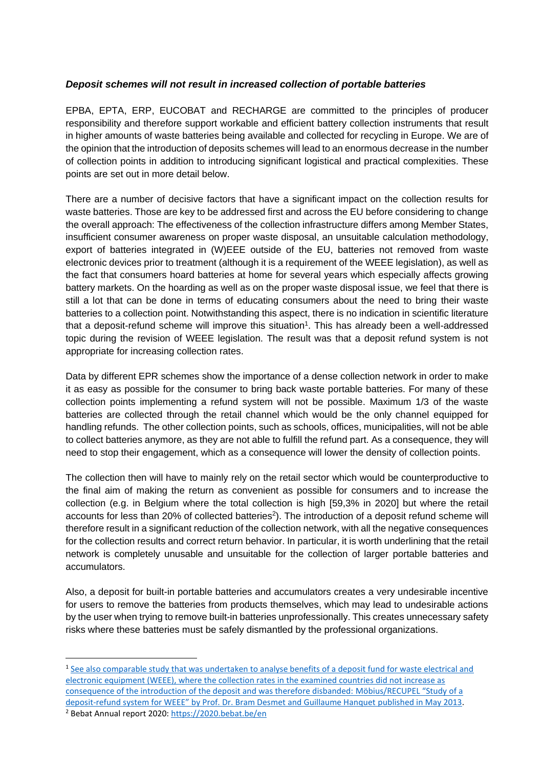#### *Deposit schemes will not result in increased collection of portable batteries*

EPBA, EPTA, ERP, EUCOBAT and RECHARGE are committed to the principles of producer responsibility and therefore support workable and efficient battery collection instruments that result in higher amounts of waste batteries being available and collected for recycling in Europe. We are of the opinion that the introduction of deposits schemes will lead to an enormous decrease in the number of collection points in addition to introducing significant logistical and practical complexities. These points are set out in more detail below.

There are a number of decisive factors that have a significant impact on the collection results for waste batteries. Those are key to be addressed first and across the EU before considering to change the overall approach: The effectiveness of the collection infrastructure differs among Member States, insufficient consumer awareness on proper waste disposal, an unsuitable calculation methodology, export of batteries integrated in (W)EEE outside of the EU, batteries not removed from waste electronic devices prior to treatment (although it is a requirement of the WEEE legislation), as well as the fact that consumers hoard batteries at home for several years which especially affects growing battery markets. On the hoarding as well as on the proper waste disposal issue, we feel that there is still a lot that can be done in terms of educating consumers about the need to bring their waste batteries to a collection point. Notwithstanding this aspect, there is no indication in scientific literature that a deposit-refund scheme will improve this situation<sup>1</sup>. This has already been a well-addressed topic during the revision of WEEE legislation. The result was that a deposit refund system is not appropriate for increasing collection rates.

Data by different EPR schemes show the importance of a dense collection network in order to make it as easy as possible for the consumer to bring back waste portable batteries. For many of these collection points implementing a refund system will not be possible. Maximum 1/3 of the waste batteries are collected through the retail channel which would be the only channel equipped for handling refunds. The other collection points, such as schools, offices, municipalities, will not be able to collect batteries anymore, as they are not able to fulfill the refund part. As a consequence, they will need to stop their engagement, which as a consequence will lower the density of collection points.

The collection then will have to mainly rely on the retail sector which would be counterproductive to the final aim of making the return as convenient as possible for consumers and to increase the collection (e.g. in Belgium where the total collection is high [59,3% in 2020] but where the retail accounts for less than 20% of collected batteries<sup>2</sup>). The introduction of a deposit refund scheme will therefore result in a significant reduction of the collection network, with all the negative consequences for the collection results and correct return behavior. In particular, it is worth underlining that the retail network is completely unusable and unsuitable for the collection of larger portable batteries and accumulators.

Also, a deposit for built-in portable batteries and accumulators creates a very undesirable incentive for users to remove the batteries from products themselves, which may lead to undesirable actions by the user when trying to remove built-in batteries unprofessionally. This creates unnecessary safety risks where these batteries must be safely dismantled by the professional organizations.

<sup>&</sup>lt;sup>1</sup> See also comparable study that was undertaken to analyse benefits of a deposit fund for waste electrical and [electronic equipment \(WEEE\), where the collection rates in the examined countries did not increase as](https://www.nvmp.nl/uploads/pdf/research/2013%2005%2028%20Studie%20Statiegeldsysteem%20AEEA%20Recupel.pdf)  [consequence of the introduction of the deposit and was therefore disbanded:](https://www.nvmp.nl/uploads/pdf/research/2013%2005%2028%20Studie%20Statiegeldsysteem%20AEEA%20Recupel.pdf) Möbius/RECUPEL "Study of a deposit-[refund system for WEEE" by Prof. Dr. Bram Desmet and Guillaume Hanquet](https://www.nvmp.nl/uploads/pdf/research/2013%2005%2028%20Studie%20Statiegeldsysteem%20AEEA%20Recupel.pdf) published in May 2013.

<sup>2</sup> Bebat Annual report 2020:<https://2020.bebat.be/en>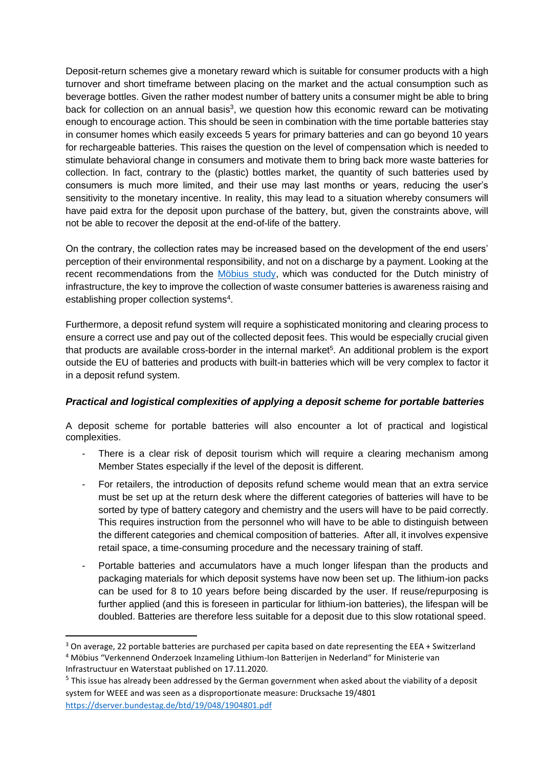Deposit-return schemes give a monetary reward which is suitable for consumer products with a high turnover and short timeframe between placing on the market and the actual consumption such as beverage bottles. Given the rather modest number of battery units a consumer might be able to bring back for collection on an annual basis<sup>3</sup>, we question how this economic reward can be motivating enough to encourage action. This should be seen in combination with the time portable batteries stay in consumer homes which easily exceeds 5 years for primary batteries and can go beyond 10 years for rechargeable batteries. This raises the question on the level of compensation which is needed to stimulate behavioral change in consumers and motivate them to bring back more waste batteries for collection. In fact, contrary to the (plastic) bottles market, the quantity of such batteries used by consumers is much more limited, and their use may last months or years, reducing the user's sensitivity to the monetary incentive. In reality, this may lead to a situation whereby consumers will have paid extra for the deposit upon purchase of the battery, but, given the constraints above, will not be able to recover the deposit at the end-of-life of the battery.

On the contrary, the collection rates may be increased based on the development of the end users' perception of their environmental responsibility, and not on a discharge by a payment. Looking at the recent recommendations from the [Möbius study,](https://open.overheid.nl/repository/ronl-8929cfa4-f0e9-4549-be06-0287c869cea7/1/pdf/bijlage-1-verkenning-inzameling-li-ion-batterijen.pdf) which was conducted for the Dutch ministry of infrastructure, the key to improve the collection of waste consumer batteries is awareness raising and establishing proper collection systems<sup>4</sup>.

Furthermore, a deposit refund system will require a sophisticated monitoring and clearing process to ensure a correct use and pay out of the collected deposit fees. This would be especially crucial given that products are available cross-border in the internal market<sup>5</sup>. An additional problem is the export outside the EU of batteries and products with built-in batteries which will be very complex to factor it in a deposit refund system.

#### *Practical and logistical complexities of applying a deposit scheme for portable batteries*

A deposit scheme for portable batteries will also encounter a lot of practical and logistical complexities.

- There is a clear risk of deposit tourism which will require a clearing mechanism among Member States especially if the level of the deposit is different.
- For retailers, the introduction of deposits refund scheme would mean that an extra service must be set up at the return desk where the different categories of batteries will have to be sorted by type of battery category and chemistry and the users will have to be paid correctly. This requires instruction from the personnel who will have to be able to distinguish between the different categories and chemical composition of batteries. After all, it involves expensive retail space, a time-consuming procedure and the necessary training of staff.
- Portable batteries and accumulators have a much longer lifespan than the products and packaging materials for which deposit systems have now been set up. The lithium-ion packs can be used for 8 to 10 years before being discarded by the user. If reuse/repurposing is further applied (and this is foreseen in particular for lithium-ion batteries), the lifespan will be doubled. Batteries are therefore less suitable for a deposit due to this slow rotational speed.

<sup>&</sup>lt;sup>3</sup> On average, 22 portable batteries are purchased per capita based on date representing the EEA + Switzerland <sup>4</sup> Möbius "Verkennend Onderzoek Inzameling Lithium-Ion Batterijen in Nederland" for Ministerie van Infrastructuur en Waterstaat published on 17.11.2020.

<sup>&</sup>lt;sup>5</sup> This issue has already been addressed by the German government when asked about the viability of a deposit system for WEEE and was seen as a disproportionate measure: Drucksache 19/4801 <https://dserver.bundestag.de/btd/19/048/1904801.pdf>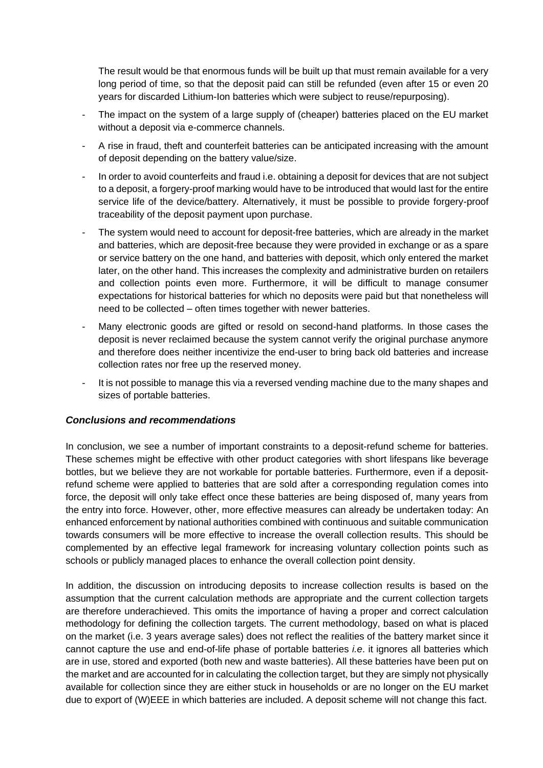The result would be that enormous funds will be built up that must remain available for a very long period of time, so that the deposit paid can still be refunded (even after 15 or even 20 years for discarded Lithium-Ion batteries which were subject to reuse/repurposing).

- The impact on the system of a large supply of (cheaper) batteries placed on the EU market without a deposit via e-commerce channels.
- A rise in fraud, theft and counterfeit batteries can be anticipated increasing with the amount of deposit depending on the battery value/size.
- In order to avoid counterfeits and fraud i.e. obtaining a deposit for devices that are not subject to a deposit, a forgery-proof marking would have to be introduced that would last for the entire service life of the device/battery. Alternatively, it must be possible to provide forgery-proof traceability of the deposit payment upon purchase.
- The system would need to account for deposit-free batteries, which are already in the market and batteries, which are deposit-free because they were provided in exchange or as a spare or service battery on the one hand, and batteries with deposit, which only entered the market later, on the other hand. This increases the complexity and administrative burden on retailers and collection points even more. Furthermore, it will be difficult to manage consumer expectations for historical batteries for which no deposits were paid but that nonetheless will need to be collected – often times together with newer batteries.
- Many electronic goods are gifted or resold on second-hand platforms. In those cases the deposit is never reclaimed because the system cannot verify the original purchase anymore and therefore does neither incentivize the end-user to bring back old batteries and increase collection rates nor free up the reserved money.
- It is not possible to manage this via a reversed vending machine due to the many shapes and sizes of portable batteries.

#### *Conclusions and recommendations*

In conclusion, we see a number of important constraints to a deposit-refund scheme for batteries. These schemes might be effective with other product categories with short lifespans like beverage bottles, but we believe they are not workable for portable batteries. Furthermore, even if a depositrefund scheme were applied to batteries that are sold after a corresponding regulation comes into force, the deposit will only take effect once these batteries are being disposed of, many years from the entry into force. However, other, more effective measures can already be undertaken today: An enhanced enforcement by national authorities combined with continuous and suitable communication towards consumers will be more effective to increase the overall collection results. This should be complemented by an effective legal framework for increasing voluntary collection points such as schools or publicly managed places to enhance the overall collection point density.

In addition, the discussion on introducing deposits to increase collection results is based on the assumption that the current calculation methods are appropriate and the current collection targets are therefore underachieved. This omits the importance of having a proper and correct calculation methodology for defining the collection targets. The current methodology, based on what is placed on the market (i.e. 3 years average sales) does not reflect the realities of the battery market since it cannot capture the use and end-of-life phase of portable batteries *i.e*. it ignores all batteries which are in use, stored and exported (both new and waste batteries). All these batteries have been put on the market and are accounted for in calculating the collection target, but they are simply not physically available for collection since they are either stuck in households or are no longer on the EU market due to export of (W)EEE in which batteries are included. A deposit scheme will not change this fact.